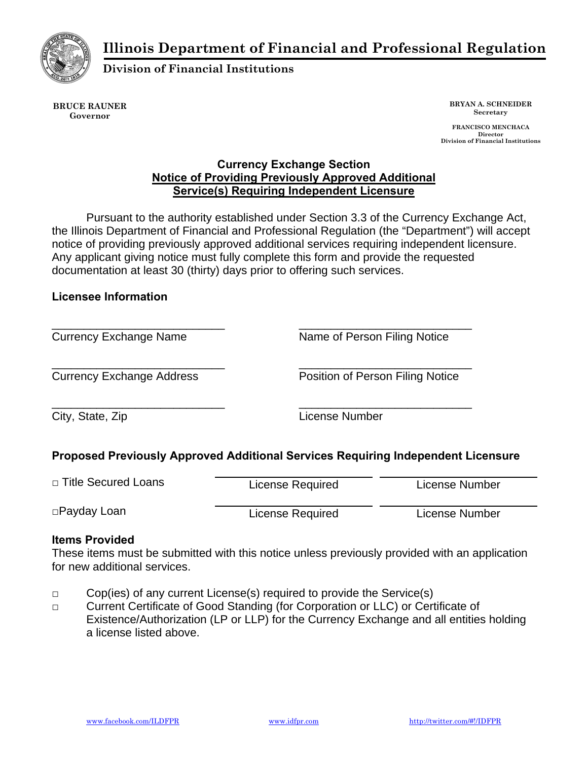**Illinois Department of Financial and Professional Regulation** 



**Division of Financial Institutions** 

**BRUCE RAUNER Governor** 

**BRYAN A. SCHNEIDER Secretary** 

 **FRANCISCO MENCHACA Director Division of Financial Institutions** 

## **Currency Exchange Section Notice of Providing Previously Approved Additional Service(s) Requiring Independent Licensure**

Pursuant to the authority established under Section 3.3 of the Currency Exchange Act, the Illinois Department of Financial and Professional Regulation (the "Department") will accept notice of providing previously approved additional services requiring independent licensure. Any applicant giving notice must fully complete this form and provide the requested documentation at least 30 (thirty) days prior to offering such services.

## **Licensee Information**

| <b>Currency Exchange Name</b>    | Name of Person Filing Notice     |  |
|----------------------------------|----------------------------------|--|
| <b>Currency Exchange Address</b> | Position of Person Filing Notice |  |
| City, State, Zip                 | License Number                   |  |

# **Proposed Previously Approved Additional Services Requiring Independent Licensure**

| □ Title Secured Loans | License Required | License Number |
|-----------------------|------------------|----------------|
| □Payday Loan          | License Required | License Number |

# **Items Provided**

These items must be submitted with this notice unless previously provided with an application for new additional services.

- **□** Cop(ies) of any current License(s) required to provide the Service(s)
- **□** Current Certificate of Good Standing (for Corporation or LLC) or Certificate of Existence/Authorization (LP or LLP) for the Currency Exchange and all entities holding a license listed above.